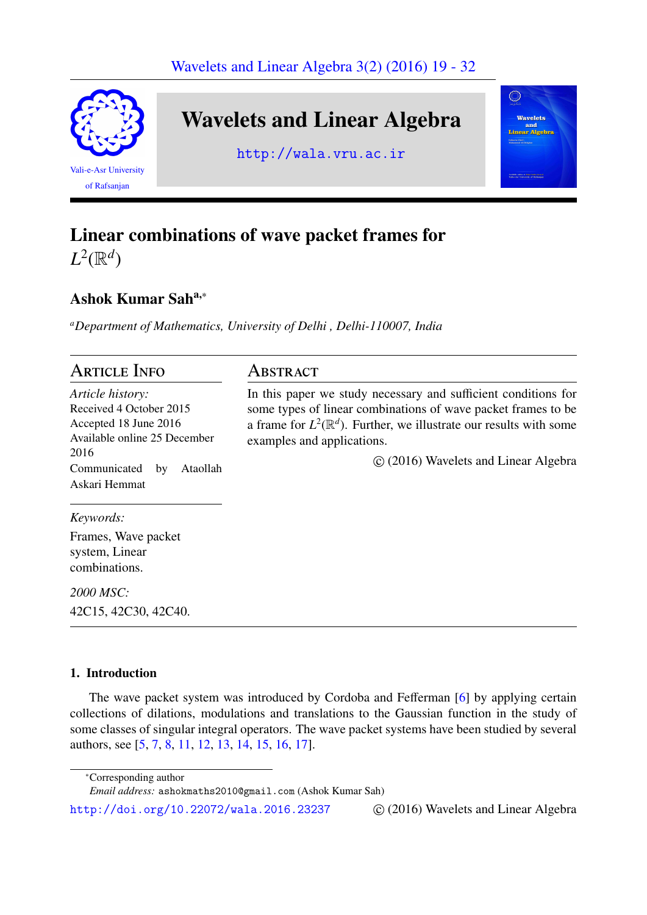

Wavelets and Linear Algebra

http://wala.vru.ac.ir



# Linear combinations of wave packet frames for

 $L^2(\mathbb{R}^d)$ 

## Ashok Kumar Saha,<sup>∗</sup>

*<sup>a</sup>Department of Mathematics, University of Delhi , Delhi-110007, India*

#### **ARTICLE INFO** *Article history:* Received 4 October 2015 Accepted 18 June 2016 Available online 25 December 2016 Communicated by Ataollah Askari Hemmat *Keywords:* Frames, Wave packet system, Linear combinations. Abstract In this paper we study necessary and sufficient conditions for some types of linear combinations of wave packet frames to be a frame for  $L^2(\mathbb{R}^d)$ . Further, we illustrate our results with some examples and applications. ⃝c (2016) Wavelets and Linear Algebra

*2000 MSC:* 42C15, 42C30, 42C40.

## 1. Introduction

The wave packet system was introduced by Cordoba and Fefferman [6] by applying certain collections of dilations, modulations and translations to the Gaussian function in the study of some classes of singular integral operators. The wave packet systems have been studied by several authors, see [5, 7, 8, 11, 12, 13, 14, 15, 16, 17].

<sup>∗</sup>Corresponding author

http://doi.org/10.22072/wala.2016.23237  $\odot$  (2016) Wavelets and Linear Algebra

*Email addr[es](#page-13-0)s[:](#page-13-1)* a[sh](#page-13-2)[okm](#page-13-3)[aths](#page-13-4)[201](#page-13-5)[0@gm](#page-13-6)[ail](#page-13-7)[.co](#page-13-8)m [\(A](#page-13-9)shok Kumar Sah)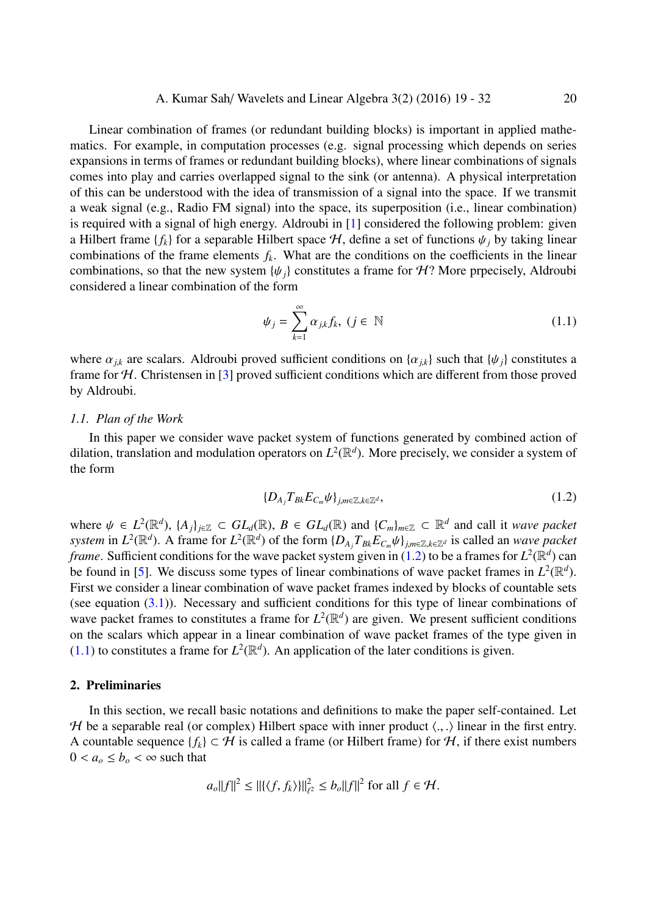Linear combination of frames (or redundant building blocks) is important in applied mathematics. For example, in computation processes (e.g. signal processing which depends on series expansions in terms of frames or redundant building blocks), where linear combinations of signals comes into play and carries overlapped signal to the sink (or antenna). A physical interpretation of this can be understood with the idea of transmission of a signal into the space. If we transmit a weak signal (e.g., Radio FM signal) into the space, its superposition (i.e., linear combination) is required with a signal of high energy. Aldroubi in [1] considered the following problem: given a Hilbert frame  $\{f_k\}$  for a separable Hilbert space  $H$ , define a set of functions  $\psi_j$  by taking linear combinations of the frame elements  $f_k$ . What are the conditions on the coefficients in the linear combinations, so that the new system  $\{\psi_i\}$  constitute[s a](#page-13-10) frame for H? More prpecisely, Aldroubi considered a linear combination of the form

<span id="page-1-1"></span>
$$
\psi_j = \sum_{k=1}^{\infty} \alpha_{j,k} f_k, \ (j \in \mathbb{N})
$$

where  $\alpha_{jk}$  are scalars. Aldroubi proved sufficient conditions on  $\{\alpha_{jk}\}\$  such that  $\{\psi_j\}\$ constitutes a frame for  $H$ . Christensen in [3] proved sufficient conditions which are different from those proved by Aldroubi.

#### *1.1. Plan of the Work*

In this paper we conside[r w](#page-13-11)ave packet system of functions generated by combined action of dilation, translation and modulation operators on  $L^2(\mathbb{R}^d)$ . More precisely, we consider a system of the form

<span id="page-1-0"></span>
$$
\{D_{A_j}T_{Bk}E_{C_m}\psi\}_{j,m\in\mathbb{Z},k\in\mathbb{Z}^d},\tag{1.2}
$$

where  $\psi \in L^2(\mathbb{R}^d)$ ,  $\{A_j\}_{j\in\mathbb{Z}} \subset GL_d(\mathbb{R})$ ,  $B \in GL_d(\mathbb{R})$  and  $\{C_m\}_{m\in\mathbb{Z}} \subset \mathbb{R}^d$  and call it *wave packet* system in  $L^2(\mathbb{R}^d)$ . A frame for  $L^2(\mathbb{R}^d)$  of the form  $\{D_{A_j}T_{Bk}E_{C_m}\psi\}_{j,m\in\mathbb{Z},k\in\mathbb{Z}^d}$  is called an wave packet *frame*. Sufficient conditions for the wave packet system given in (1.2) to be a frames for  $L^2(\mathbb{R}^d)$  can be found in [5]. We discuss some types of linear combinations of wave packet frames in  $L^2(\mathbb{R}^d)$ . First we consider a linear combination of wave packet frames indexed by blocks of countable sets (see equation  $(3.1)$ ). Necessary and sufficient conditions for th[is ty](#page-1-0)pe of linear combinations of wave packet [fr](#page-13-0)ames to constitutes a frame for  $L^2(\mathbb{R}^d)$  are given. We present sufficient conditions on the scalars which appear in a linear combination of wave packet frames of the type given in  $(1.1)$  to constit[utes](#page-2-0) a frame for  $L^2(\mathbb{R}^d)$ . An application of the later conditions is given.

#### 2. Preliminaries

[I](#page-1-1)n this section, we recall basic notations and definitions to make the paper self-contained. Let H be a separable real (or complex) Hilbert space with inner product  $\langle ., . \rangle$  linear in the first entry. A countable sequence  $\{f_k\} \subset \mathcal{H}$  is called a frame (or Hilbert frame) for  $\mathcal{H}$ , if there exist numbers  $0 < a_o \le b_o < \infty$  such that

$$
a_o||f||^2 \le ||\langle f, f_k \rangle||_{\ell^2}^2 \le b_o||f||^2 \text{ for all } f \in \mathcal{H}.
$$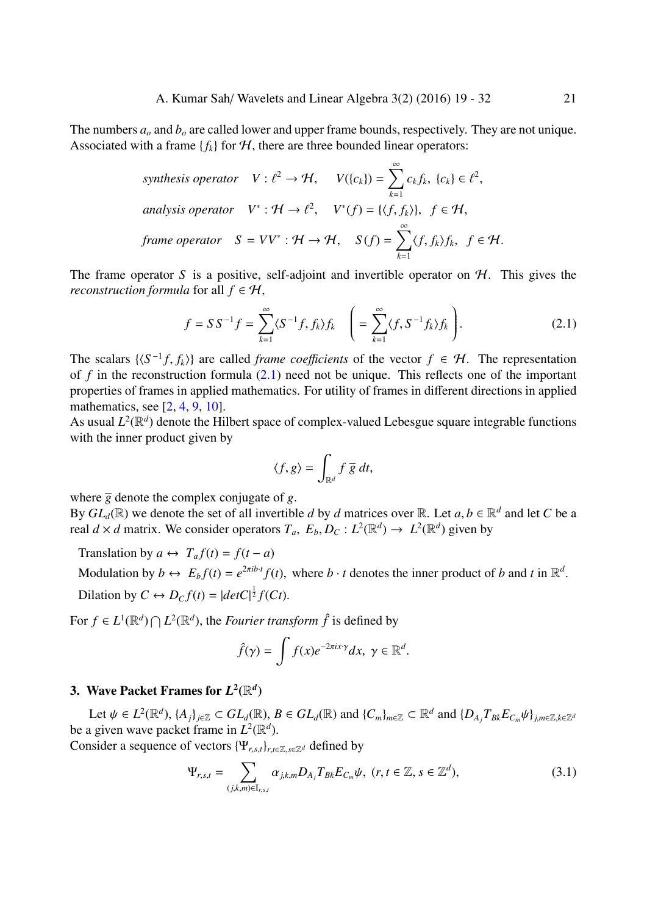The numbers *a<sup>o</sup>* and *b<sup>o</sup>* are called lower and upper frame bounds, respectively. They are not unique. Associated with a frame  ${f_k}$  for  $H$ , there are three bounded linear operators:

synthesis operator 
$$
V: \ell^2 \to \mathcal{H}
$$
,  $V(\{c_k\}) = \sum_{k=1}^{\infty} c_k f_k$ ,  $\{c_k\} \in \ell^2$ ,  
analysis operator  $V^*: \mathcal{H} \to \ell^2$ ,  $V^*(f) = \{\langle f, f_k \rangle\}$ ,  $f \in \mathcal{H}$ ,  
frame operator  $S = VV^*: \mathcal{H} \to \mathcal{H}$ ,  $S(f) = \sum_{k=1}^{\infty} \langle f, f_k \rangle f_k$ ,  $f \in \mathcal{H}$ .

The frame operator S is a positive, self-adjoint and invertible operator on  $H$ . This gives the *reconstruction formula* for all  $f \in H$ ,

$$
f = SS^{-1}f = \sum_{k=1}^{\infty} \langle S^{-1}f, f_k \rangle f_k \quad \left( = \sum_{k=1}^{\infty} \langle f, S^{-1}f_k \rangle f_k \right). \tag{2.1}
$$

The scalars  $\{\langle S^{-1}f, f_k \rangle\}$  are called *frame coefficients* of the vector  $f \in \mathcal{H}$ . The representation of  $f$  in the reconstruction formula  $(2.1)$  need not be unique. This reflects one of the important properties of frames in applied mathematics. For utility of frames in different directions in applied mathematics, see [2, 4, 9, 10].

As usual  $L^2(\mathbb{R}^d)$  denote the Hilbert s[pace](#page-2-1) of complex-valued Lebesgue square integrable functions with the inner product given by

<span id="page-2-1"></span>
$$
\langle f, g \rangle = \int_{\mathbb{R}^d} f \, \overline{g} \, dt,
$$

where  $\overline{g}$  denote the complex conjugate of *g*.

By  $GL_d(\mathbb{R})$  we denote the set of all invertible *d* by *d* matrices over  $\mathbb{R}$ . Let  $a, b \in \mathbb{R}^d$  and let *C* be a real  $d \times d$  matrix. We consider operators  $T_a$ ,  $E_b$ ,  $D_c$ :  $L^2(\mathbb{R}^d) \to L^2(\mathbb{R}^d)$  given by

Translation by  $a \leftrightarrow T_a f(t) = f(t - a)$ 

Modulation by  $b \leftrightarrow E_b f(t) = e^{2\pi i b \cdot t} f(t)$ , where  $b \cdot t$  denotes the inner product of *b* and *t* in  $\mathbb{R}^d$ . Dilation by  $C \leftrightarrow D_C f(t) = |det C|^{\frac{1}{2}} f(Ct)$ .

For  $f \in L^1(\mathbb{R}^d) \cap L^2(\mathbb{R}^d)$ , the *Fourier transform*  $\hat{f}$  is defined by

<span id="page-2-0"></span>
$$
\hat{f}(\gamma) = \int f(x)e^{-2\pi ix\cdot\gamma}dx, \ \gamma \in \mathbb{R}^d.
$$

### 3. Wave Packet Frames for  $L^2(\mathbb{R}^d)$

Let  $\psi \in L^2(\mathbb{R}^d)$ ,  $\{A_j\}_{j\in\mathbb{Z}}\subset GL_d(\mathbb{R})$ ,  $B\in GL_d(\mathbb{R})$  and  $\{C_m\}_{m\in\mathbb{Z}}\subset \mathbb{R}^d$  and  $\{D_{A_j}T_{Bk}E_{C_m}\psi\}_{j,m\in\mathbb{Z},k\in\mathbb{Z}^d}$ be a given wave packet frame in  $L^2(\mathbb{R}^d)$ . Consider a sequence of vectors  $\{\Psi_{r,s,t}\}_{r,t\in\mathbb{Z},s\in\mathbb{Z}^d}$  defined by

$$
\Psi_{r,s,t} = \sum_{(j,k,m)\in\mathbb{I}_{r,s,t}} \alpha_{j,k,m} D_{A_j} T_{Bk} E_{C_m} \psi, \ (r,t \in \mathbb{Z}, s \in \mathbb{Z}^d), \tag{3.1}
$$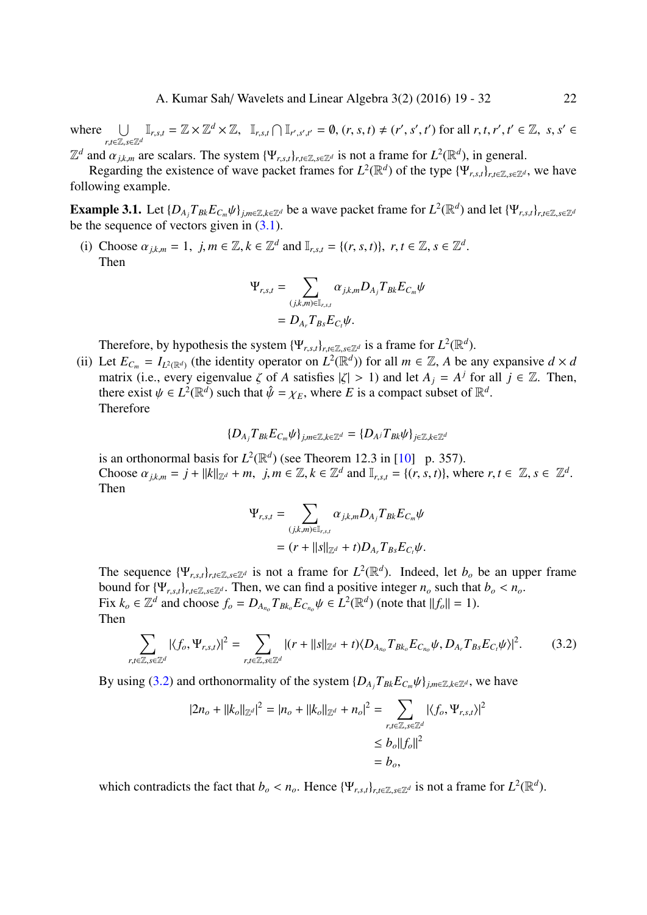where ∪ *r*,*t*∈Z,*s*∈Z*<sup>d</sup>*  $\mathbb{I}_{r,s,t} = \mathbb{Z} \times \mathbb{Z}^d \times \mathbb{Z}, \quad \mathbb{I}_{r,s,t} \cap \mathbb{I}_{r',s',t'} = \emptyset, (r,s,t) \neq (r',s',t') \text{ for all } r,t,r',t' \in \mathbb{Z}, s,s' \in \mathbb{Z}$ 

 $\mathbb{Z}^d$  and  $\alpha_{j,k,m}$  are scalars. The system  $\{\Psi_{r,s,t}\}_{r,t\in\mathbb{Z},s\in\mathbb{Z}^d}$  is not a frame for  $L^2(\mathbb{R}^d)$ , in general.

Regarding the existence of wave packet frames for  $L^2(\mathbb{R}^d)$  of the type  $\{\Psi_{r,s,t}\}_{r,t\in\mathbb{Z},s\in\mathbb{Z}^d}$ , we have following example.

**Example 3.1.** Let  $\{D_{A_j}T_{Bk}E_{C_m}\psi\}_{j,m\in\mathbb{Z},k\in\mathbb{Z}^d}$  be a wave packet frame for  $L^2(\mathbb{R}^d)$  and let  $\{\Psi_{r,s,t}\}_{r,t\in\mathbb{Z},s\in\mathbb{Z}^d}$ be the sequence of vectors given in  $(3.1)$ .

(i) Choose  $\alpha_{j,k,m} = 1$ ,  $j, m \in \mathbb{Z}, k \in \mathbb{Z}^d$  and  $\mathbb{I}_{r,s,t} = \{(r, s, t)\}, r, t \in \mathbb{Z}, s \in \mathbb{Z}^d$ . Then

$$
\Psi_{r,s,t} = \sum_{(j,k,m)\in \mathbb{I}_{r,s,t}} \alpha_{j,k,m} D_{A_j} T_{Bk} E_{C_m} \psi
$$
  
= 
$$
D_{A_r} T_{Bs} E_{C_t} \psi.
$$

Therefore, by hypothesis the system  $\{\Psi_{r,s,t}\}_{r,t\in\mathbb{Z},s\in\mathbb{Z}^d}$  is a frame for  $L^2(\mathbb{R}^d)$ .

(ii) Let  $E_{C_m} = I_{L^2(\mathbb{R}^d)}$  (the identity operator on  $L^2(\mathbb{R}^d)$ ) for all  $m \in \mathbb{Z}$ , A be any expansive  $d \times d$ matrix (i.e., every eigenvalue  $\zeta$  of *A* satisfies  $|\zeta| > 1$ ) and let  $A_j = A^j$  for all  $j \in \mathbb{Z}$ . Then, there exist  $\psi \in L^2(\mathbb{R}^d)$  such that  $\hat{\psi} = \chi_E$ , where *E* is a compact subset of  $\mathbb{R}^d$ . Therefore

$$
\{D_{A_j}T_{Bk}E_{C_m}\psi\}_{j,m\in\mathbb{Z},k\in\mathbb{Z}^d}=\{D_{A^j}T_{Bk}\psi\}_{j\in\mathbb{Z},k\in\mathbb{Z}^d}
$$

is an orthonormal basis for  $L^2(\mathbb{R}^d)$  (see Theorem 12.3 in [10] p. 357). Choose  $\alpha_{j,k,m} = j + ||k||_{\mathbb{Z}^d} + m$ ,  $j, m \in \mathbb{Z}, k \in \mathbb{Z}^d$  and  $\mathbb{I}_{r,s,t} = \{(r, s, t)\}\)$ , where  $r, t \in \mathbb{Z}, s \in \mathbb{Z}^d$ . Then

$$
\Psi_{r,s,t} = \sum_{(j,k,m)\in \mathbb{I}_{r,s,t}} \alpha_{j,k,m} D_{A_j} T_{Bk} E_{C_m} \psi
$$
  
= 
$$
(r + ||s||_{\mathbb{Z}^d} + t) D_{A_r} T_{Bs} E_{C_t} \psi.
$$

The sequence  $\{\Psi_{r,s,t}\}_{r,t\in\mathbb{Z},s\in\mathbb{Z}^d}$  is not a frame for  $L^2(\mathbb{R}^d)$ . Indeed, let  $b_o$  be an upper frame bound for  ${\Psi}_{r,s,t}$ <sub>*r*, $s,t$ </sub><sub>*r*, $t \in \mathbb{Z}, s \in \mathbb{Z}^d$ . Then, we can find a positive integer  $n_o$  such that  $b_o < n_o$ .</sub> Fix  $k_o \in \mathbb{Z}^d$  and choose  $f_o = D_{A_{n_o}} T_{Bk_o} E_{C_{n_o}} \psi \in L^2(\mathbb{R}^d)$  (note that  $||f_o|| = 1$ ). Then

$$
\sum_{r,t\in\mathbb{Z},s\in\mathbb{Z}^d} |\langle f_o,\Psi_{r,s,t}\rangle|^2 = \sum_{r,t\in\mathbb{Z},s\in\mathbb{Z}^d} |(r+||s||_{\mathbb{Z}^d}+t)\langle D_{A_{n_o}}T_{Bk_o}E_{C_{n_o}}\psi, D_{A_r}T_{Bs}E_{C_t}\psi\rangle|^2.
$$
(3.2)

By using (3.2) and orthonormality of the system  $\{D_{A_i}T_{Bk}E_{C_m}\psi\}_{j,m\in\mathbb{Z},k\in\mathbb{Z}^d}$ , we have

$$
|2n_o + ||k_o||_{\mathbb{Z}^d}|^2 = |n_o + ||k_o||_{\mathbb{Z}^d} + n_o|^2 = \sum_{\substack{r, t \in \mathbb{Z}, s \in \mathbb{Z}^d \\ \leq b_o ||f_o||^2 \\ = b_o,
$$

which contradicts the fact that  $b_o < n_o$ . Hence  $\{\Psi_{r,s,t}\}_{r,t \in \mathbb{Z}, s \in \mathbb{Z}^d}$  is not a frame for  $L^2(\mathbb{R}^d)$ .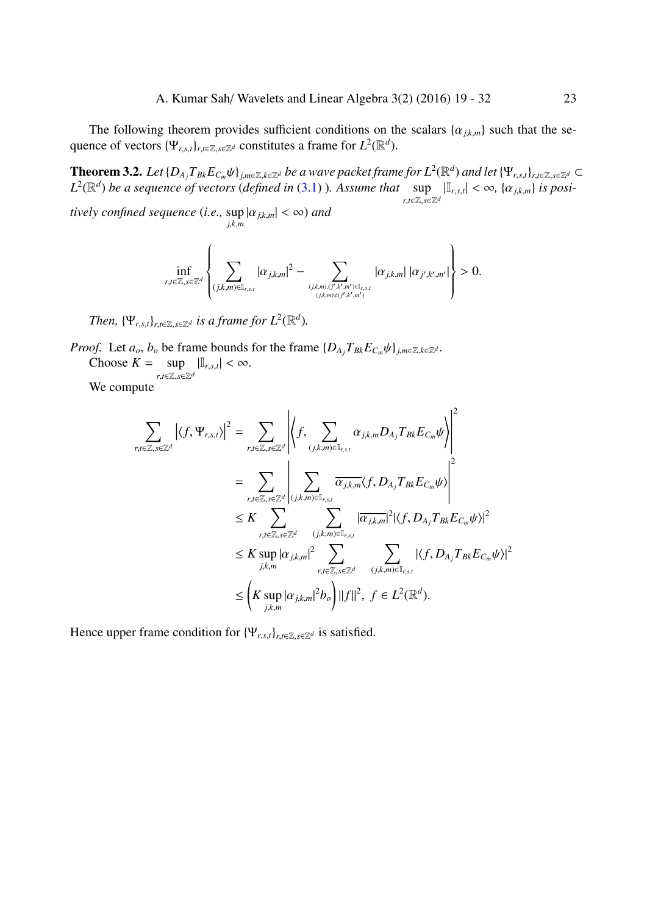The following theorem provides sufficient conditions on the scalars  $\{\alpha_{j,k,m}\}$  such that the sequence of vectors  $\{\Psi_{r,s,t}\}_{r,t\in\mathbb{Z},s\in\mathbb{Z}^d}$  constitutes a frame for  $L^2(\mathbb{R}^d)$ .

**Theorem 3.2.** Let  $\{D_{A_j}T_{Bk}E_{C_m}\psi\}_{j,m\in\mathbb{Z},k\in\mathbb{Z}^d}$  be a wave packet frame for  $L^2(\mathbb{R}^d)$  and let  $\{\Psi_{r,s,t}\}_{r,t\in\mathbb{Z},s\in\mathbb{Z}^d}\subset$  $L^2(\mathbb{R}^d)$  *be a sequence of vectors (defined in*  $(3.1)$  )*. Assume that* sup *r*,*t*∈Z,*s*∈Z*<sup>d</sup>*  $|\mathbb{I}_{r,s,t}| < \infty$ ,  $\{\alpha_{j,k,m}\}\$ is posi-

*tively confined sequence* (*i.e.,* sup |α*j*,*k*,*m*| < ∞) *and j*,*k*,*m*

$$
\inf_{r,t\in\mathbb{Z},s\in\mathbb{Z}^d}\left\{\sum_{(j,k,m)\in\mathbb{I}_{r,s,t}}|\alpha_{j,k,m}|^2-\sum_{(j,k,m),(j',k',m')\in\mathbb{I}_{r,s,t}\atop (j,k,m)\neq (j',k',m')}|\alpha_{j,k,m}|\left|\alpha_{j',k',m'}\right|\right\}>0.
$$

*Then,*  $\{\Psi_{r,s,t}\}_{r,t\in\mathbb{Z},s\in\mathbb{Z}^d}$  *is a frame for*  $L^2(\mathbb{R}^d)$ *.* 

*Proof.* Let  $a_o$ ,  $b_o$  be frame bounds for the frame  $\{D_{A_i}T_{Bk}E_{C_m}\psi\}_{j,m\in\mathbb{Z},k\in\mathbb{Z}^d}$ . Choose  $K = \sup$  $|\mathbb{I}_{r,s,t}| < \infty$ .

*r*,*t*∈Z,*s*∈Z*<sup>d</sup>*

We compute

$$
\sum_{r,t\in\mathbb{Z},s\in\mathbb{Z}^d} \left|\langle f,\Psi_{r,s,t}\rangle\right|^2 = \sum_{r,t\in\mathbb{Z},s\in\mathbb{Z}^d} \left|\left\langle f,\sum_{(j,k,m)\in\mathbb{I}_{r,s,t}} \alpha_{j,k,m} D_{A_j} T_{Bk} E_{C_m} \psi\right\rangle\right|^2
$$
\n
$$
= \sum_{r,t\in\mathbb{Z},s\in\mathbb{Z}^d} \left|\sum_{(j,k,m)\in\mathbb{I}_{r,s,t}} \overline{\alpha_{j,k,m}} \langle f, D_{A_j} T_{Bk} E_{C_m} \psi\rangle\right|^2
$$
\n
$$
\leq K \sum_{r,t\in\mathbb{Z},s\in\mathbb{Z}^d} \sum_{(j,k,m)\in\mathbb{I}_{r,s,t}} |\overline{\alpha_{j,k,m}}|^2 |\langle f, D_{A_j} T_{Bk} E_{C_m} \psi\rangle|^2
$$
\n
$$
\leq K \sup_{j,k,m} |\alpha_{j,k,m}|^2 \sum_{r,t\in\mathbb{Z},s\in\mathbb{Z}^d} \sum_{(j,k,m)\in\mathbb{I}_{r,s,t}} |\langle f, D_{A_j} T_{Bk} E_{C_m} \psi\rangle|^2
$$
\n
$$
\leq \left(K \sup_{j,k,m} |\alpha_{j,k,m}|^2 b_o\right) ||f||^2, \ f \in L^2(\mathbb{R}^d).
$$

Hence upper frame condition for  $\{\Psi_{r,s,t}\}_{r,t\in\mathbb{Z},s\in\mathbb{Z}^d}$  is satisfied.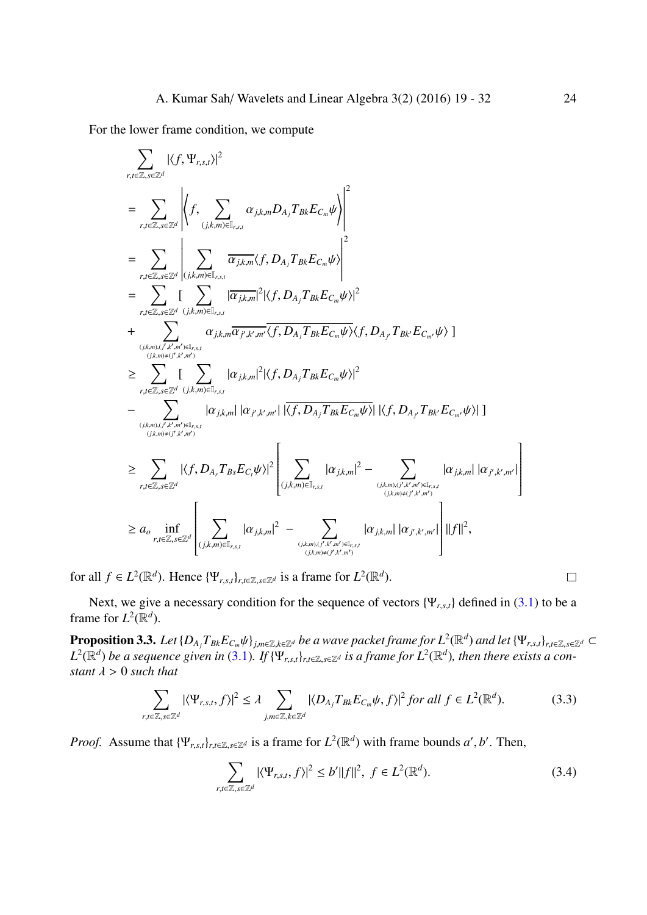For the lower frame condition, we compute

$$
\sum_{r,t\in\mathbb{Z},s\in\mathbb{Z}^{d}}|\langle f,\Psi_{r,s,t}\rangle|^{2}
$$
\n
$$
=\sum_{r,t\in\mathbb{Z},s\in\mathbb{Z}^{d}}\left|\langle f,\sum_{(j,k,m)\in\mathbb{I}_{r,s,t}}\alpha_{j,k,m}D_{A_{j}}T_{Bk}E_{C_{m}}\psi\rangle\right|^{2}
$$
\n
$$
=\sum_{r,t\in\mathbb{Z},s\in\mathbb{Z}^{d}}\left|\sum_{(j,k,m)\in\mathbb{I}_{r,s,t}}\overline{\alpha_{j,k,m}}\langle f,D_{A_{j}}T_{Bk}E_{C_{m}}\psi\rangle\right|^{2}
$$
\n
$$
=\sum_{r,t\in\mathbb{Z},s\in\mathbb{Z}^{d}}\left|\sum_{(j,k,m)\in\mathbb{I}_{r,s,t}}\alpha_{j,k,m}\overline{\alpha_{j,k,m}}^{2}|\langle f,D_{A_{j}}T_{Bk}E_{C_{m}}\psi\rangle|^{2}
$$
\n
$$
+\sum_{(j,k,m)\in\mathbb{I}_{r,s,t}}\alpha_{j,k,m}\overline{\alpha_{j,k,m}}^{2}\langle f,D_{A_{j}}T_{Bk}E_{C_{m}}\psi\rangle\langle f,D_{A_{j}}T_{Bk}E_{C_{m'}}\psi\rangle|^{2}
$$
\n
$$
\geq \sum_{r,t\in\mathbb{Z},s\in\mathbb{Z}^{d}}\left|\sum_{(j,k,m)\in\mathbb{I}_{r,s,t}}|\alpha_{j,k,m}|^{2}|\langle f,D_{A_{j}}T_{Bk}E_{C_{m}}\psi\rangle|^{2}
$$
\n
$$
-\sum_{(j,k,m)\in\mathbb{I}_{r,s,t}}|\alpha_{j,k,m}\||\alpha_{j,k,m'}^{2}|\langle f,D_{A_{j}}T_{Bk}E_{C_{m}}\psi\rangle|\langle f,D_{A_{j}}T_{Bk}E_{C_{m'}}\psi\rangle|^{2}
$$
\n
$$
\geq \sum_{r,t\in\mathbb{Z},s\in\mathbb{Z}^{d}}|\langle f,D_{A_{r}}T_{B_{s}}E_{C_{t}}\psi\rangle|^{2}
$$
\n
$$
\geq \sum_{r,t\in\mathbb{Z},s\in\mathbb{Z}^{d}}|\langle f,D_{A_{r}}T_{Bs}E_{C_{t}}\psi\rangle|^{2}
$$
\n
$$
\geq
$$

for all  $f \in L^2(\mathbb{R}^d)$ . Hence  $\{\Psi_{r,s,t}\}_{r,t \in \mathbb{Z}, s \in \mathbb{Z}^d}$  is a frame for  $L^2(\mathbb{R}^d)$ .

Next, we give a necessary condition for the sequence of vectors {Ψ*r*,*s*,*t*} defined in (3.1) to be a frame for  $L^2(\mathbb{R}^d)$ .

<span id="page-5-1"></span>**Proposition 3.3.** Let  $\{D_{A_j}T_{Bk}E_{C_m}\psi\}_{j,m\in\mathbb{Z},k\in\mathbb{Z}^d}$  be a wave packet frame for  $L^2(\mathbb{R}^d)$  and let  $\{\Psi_{r,s,t}\}_{r,t\in\mathbb{Z},s\in\mathbb{Z}^d}\subset$  $L^2(\R^d)$  be a sequence given in (3.1). If { $\Psi_{r,s,t}\}_{r,t\in\Z,s\in\Z^d}$  is a frame for  $L^2(\R^d)$ , then there [exist](#page-2-0)s a con*stant*  $\lambda > 0$  *such that* 

$$
\sum_{r,t\in\mathbb{Z},s\in\mathbb{Z}^d} |\langle \Psi_{r,s,t},f\rangle|^2 \leq \lambda \sum_{j,m\in\mathbb{Z},k\in\mathbb{Z}^d} |\langle D_{A_j}T_{Bk}E_{C_m}\psi,f\rangle|^2 \text{ for all } f\in L^2(\mathbb{R}^d). \tag{3.3}
$$

*Proof.* Assume that  $\{\Psi_{r,s,t}\}_{r,t\in\mathbb{Z},s\in\mathbb{Z}^d}$  is a frame for  $L^2(\mathbb{R}^d)$  with frame bounds *a*', *b*'. Then,

$$
\sum_{r,t\in\mathbb{Z},s\in\mathbb{Z}^d} |\langle \Psi_{r,s,t},f\rangle|^2 \le b' \|f\|^2, \ f \in L^2(\mathbb{R}^d). \tag{3.4}
$$

<span id="page-5-2"></span><span id="page-5-0"></span> $\Box$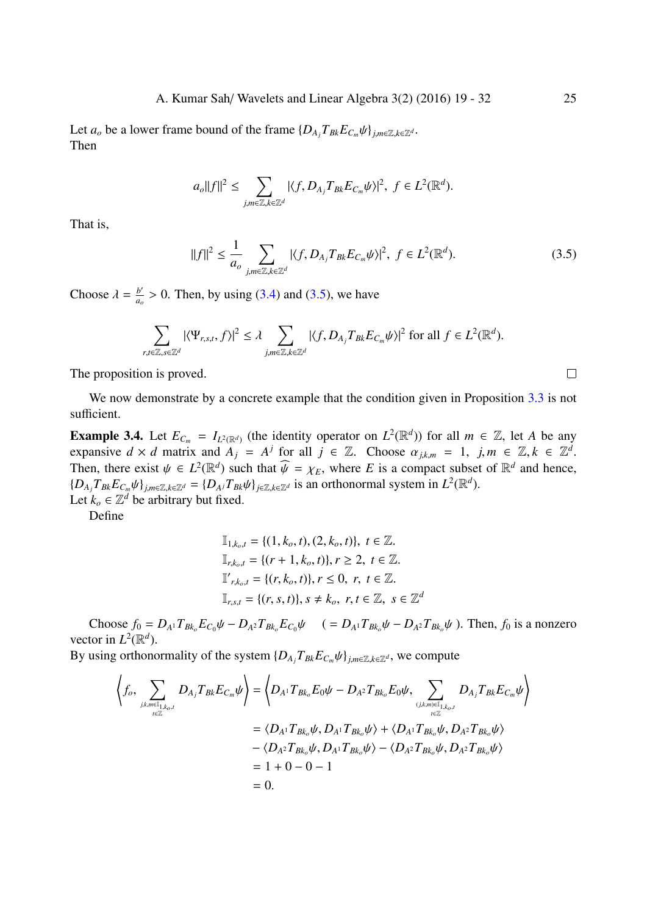Let  $a_o$  be a lower frame bound of the frame  $\{D_{A_i}T_{Bk}E_{C_m}\psi\}_{j,m\in\mathbb{Z},k\in\mathbb{Z}^d}$ . Then

$$
a_o||f||^2 \leq \sum_{j,m\in\mathbb{Z},k\in\mathbb{Z}^d} |\langle f,D_{A_j}T_{Bk}E_{C_m}\psi\rangle|^2, \ f\in L^2(\mathbb{R}^d).
$$

That is,

$$
||f||^2 \leq \frac{1}{a_o} \sum_{j,m \in \mathbb{Z}, k \in \mathbb{Z}^d} |\langle f, D_{A_j} T_{Bk} E_{C_m} \psi \rangle|^2, \ f \in L^2(\mathbb{R}^d). \tag{3.5}
$$

Choose  $\lambda = \frac{b'}{a}$  $\frac{b'}{a_o} > 0$ . Then, by using (3.4) and (3.5), we have

$$
\sum_{r,t\in\mathbb{Z},s\in\mathbb{Z}^d}|\langle \Psi_{r,s,t},f\rangle|^2\leq \lambda \sum_{j,m\in\mathbb{Z},k\in\mathbb{Z}^d}|\langle f,D_{A_j}T_{Bk}E_{C_m}\psi\rangle|^2 \text{ for all }f\in L^2(\mathbb{R}^d).
$$

The proposition is proved.

We now demonstrate by a concrete example that the condition given in Proposition 3.3 is not sufficient.

**Example 3.4.** Let  $E_{C_m} = I_{L^2(\mathbb{R}^d)}$  (the identity operator on  $L^2(\mathbb{R}^d)$ ) for all  $m \in \mathbb{Z}$ , let *A* be any expansive  $d \times d$  matrix and  $A_j = A^j$  for all  $j \in \mathbb{Z}$ . Choose  $\alpha_{j,k,m} = 1$  $\alpha_{j,k,m} = 1$  $\alpha_{j,k,m} = 1$ ,  $j,m \in \mathbb{Z}, k \in \mathbb{Z}^d$ . Then, there exist  $\psi \in L^2(\mathbb{R}^d)$  such that  $\widehat{\psi} = \chi_E$ , where *E* is a compact subset of  $\mathbb{R}^d$  and hence,  $\{D_{A_j}T_{Bk}E_{C_m}\psi\}_{j,m\in\mathbb{Z},k\in\mathbb{Z}^d}=\{D_{A_j}T_{Bk}\psi\}_{j\in\mathbb{Z},k\in\mathbb{Z}^d}$  is an orthonormal system in  $L^2(\mathbb{R}^d)$ . Let  $k_o \in \mathbb{Z}^d$  be arbitrary but fixed.

Define

$$
\mathbb{I}_{1,k_o,t} = \{(1, k_o, t), (2, k_o, t)\}, t \in \mathbb{Z}.
$$
  
\n
$$
\mathbb{I}_{r,k_o,t} = \{(r+1, k_o, t)\}, r \ge 2, t \in \mathbb{Z}.
$$
  
\n
$$
\mathbb{I}'_{r,k_o,t} = \{(r, k_o, t)\}, r \le 0, r, t \in \mathbb{Z}.
$$
  
\n
$$
\mathbb{I}_{r,s,t} = \{(r, s, t)\}, s \ne k_o, r, t \in \mathbb{Z}, s \in \mathbb{Z}^d
$$

Choose  $f_0 = D_{A^1} T_{Bk_0} E_{C_0} \psi - D_{A^2} T_{Bk_0} E_{C_0} \psi$   $= D_{A^1} T_{Bk_0} \psi - D_{A^2} T_{Bk_0} \psi$ . Then,  $f_0$  is a nonzero vector in  $L^2(\mathbb{R}^d)$ .

By using orthonormality of the system  $\{D_{A_i}T_{Bk}E_{C_m}\psi\}_{j,m\in\mathbb{Z},k\in\mathbb{Z}^d}$ , we compute

$$
\left\langle f_o, \sum_{j,k,m \in I_{1,k_o,t} \atop t \in \mathbb{Z}} D_{A_j} T_{Bk} E_{C_m} \psi \right\rangle = \left\langle D_{A^1} T_{Bk_o} E_0 \psi - D_{A^2} T_{Bk_o} E_0 \psi, \sum_{(j,k,m) \in I_{1,k_o,t} \atop t \in \mathbb{Z}} D_{A_j} T_{Bk} E_{C_m} \psi \right\rangle
$$
  
\n
$$
= \left\langle D_{A^1} T_{Bk_o} \psi, D_{A^1} T_{Bk_o} \psi \right\rangle + \left\langle D_{A^1} T_{Bk_o} \psi, D_{A^2} T_{Bk_o} \psi \right\rangle
$$
  
\n
$$
- \left\langle D_{A^2} T_{Bk_o} \psi, D_{A^1} T_{Bk_o} \psi \right\rangle - \left\langle D_{A^2} T_{Bk_o} \psi, D_{A^2} T_{Bk_o} \psi \right\rangle
$$
  
\n
$$
= 1 + 0 - 0 - 1
$$
  
\n
$$
= 0.
$$

 $\Box$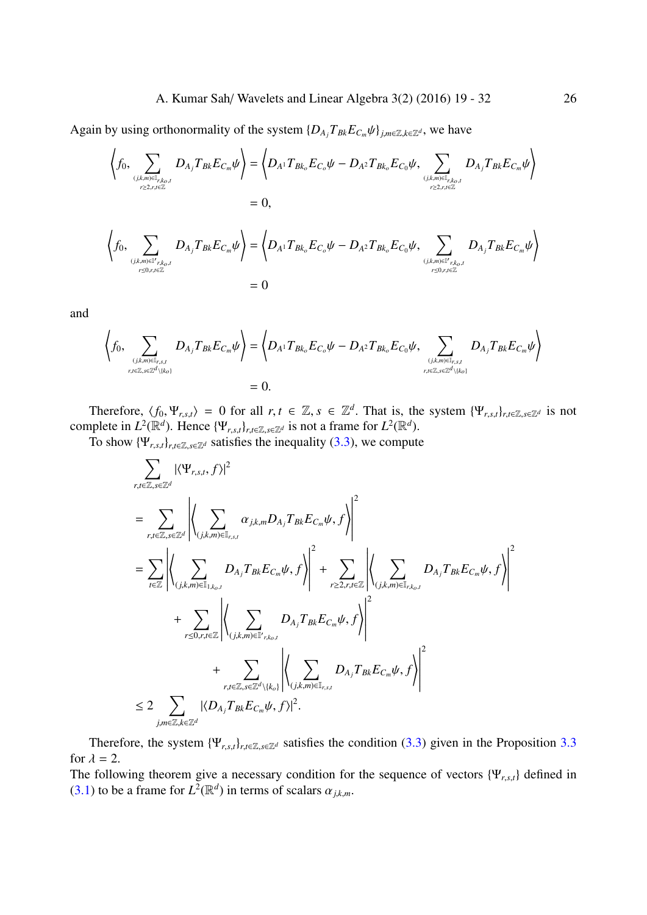Again by using orthonormality of the system  $\{D_{A_j}T_{B_k}E_{C_m}\psi\}_{j,m\in\mathbb{Z},k\in\mathbb{Z}^d}$ , we have

$$
\left\langle f_0, \sum_{(j,k,m)\in \mathbb{I}_{r,k_o,t}\atop r\geq 2,r,t\in \mathbb{Z}} D_{A_j} T_{Bk} E_{C_m} \psi \right\rangle = \left\langle D_{A^1} T_{Bk_o} E_{C_o} \psi - D_{A^2} T_{Bk_o} E_{C_0} \psi, \sum_{(j,k,m)\in \mathbb{I}_{r,k_o,t}\atop r\geq 2,r,t\in \mathbb{Z}} D_{A_j} T_{Bk} E_{C_m} \psi \right\rangle
$$
  
\n
$$
= 0,
$$
  
\n
$$
\left\langle f_0, \sum_{(j,k,m)\in \mathbb{I}_{r,k_o,t}\atop r\leq 0,r,t\in \mathbb{Z}} D_{A_j} T_{Bk} E_{C_m} \psi \right\rangle = \left\langle D_{A^1} T_{Bk_o} E_{C_o} \psi - D_{A^2} T_{Bk_o} E_{C_0} \psi, \sum_{(j,k,m)\in \mathbb{I}_{r,k_o,t}\atop r\leq 0,r,t\in \mathbb{Z}} D_{A_j} T_{Bk} E_{C_m} \psi \right\rangle
$$

$$
f_{\rm{max}}
$$

and

$$
\left\langle f_0, \sum_{(j,k,m)\in\mathbb{I}_{r,s,t}\atop r,t\in\mathbb{Z},s\in\mathbb{Z}^d\setminus\{k_o\}} D_{A_j}T_{Bk}E_{C_m}\psi\right\rangle = \left\langle D_{A^1}T_{Bk_o}E_{C_o}\psi - D_{A^2}T_{Bk_o}E_{C_0}\psi, \sum_{(j,k,m)\in\mathbb{I}_{r,s,t}\atop r,t\in\mathbb{Z},s\in\mathbb{Z}^d\setminus\{k_o\}} D_{A_j}T_{Bk}E_{C_m}\psi\right\rangle
$$
  
= 0.

Therefore,  $\langle f_0, \Psi_{r,s,t} \rangle = 0$  for all  $r, t \in \mathbb{Z}, s \in \mathbb{Z}^d$ . That is, the system  $\{\Psi_{r,s,t}\}_{r,t \in \mathbb{Z}, s \in \mathbb{Z}^d}$  is not complete in  $L^2(\mathbb{R}^d)$ . Hence  $\{\Psi_{r,s,t}\}_{r,t\in\mathbb{Z},s\in\mathbb{Z}^d}$  is not a frame for  $L^2(\mathbb{R}^d)$ .

To show  $\{\Psi_{r,s,t}\}_{r,t\in\mathbb{Z},s\in\mathbb{Z}^d}$  satisfies the inequality (3.3), we compute

 $= 0$ 

$$
\sum_{r,t\in\mathbb{Z},s\in\mathbb{Z}^d} |\langle \Psi_{r,s,t},f\rangle|^2
$$
\n
$$
= \sum_{r,t\in\mathbb{Z},s\in\mathbb{Z}^d} \left| \left\langle \sum_{(j,k,m)\in\mathbb{I}_{r,s,t}} \alpha_{j,k,m} D_{A_j} T_{Bk} E_{C_m} \psi, f \right\rangle \right|^2
$$
\n
$$
= \sum_{t\in\mathbb{Z}} \left| \left\langle \sum_{(j,k,m)\in\mathbb{I}_{1,k_o,t}} D_{A_j} T_{Bk} E_{C_m} \psi, f \right\rangle \right|^2 + \sum_{r\geq 2,r,t\in\mathbb{Z}} \left| \left\langle \sum_{(j,k,m)\in\mathbb{I}_{r,k_o,t}} D_{A_j} T_{Bk} E_{C_m} \psi, f \right\rangle \right|^2
$$
\n
$$
+ \sum_{r\leq 0,r,t\in\mathbb{Z}} \left| \left\langle \sum_{(j,k,m)\in\mathbb{I}_{r,k_o,t}} D_{A_j} T_{Bk} E_{C_m} \psi, f \right\rangle \right|^2
$$
\n
$$
+ \sum_{r,t\in\mathbb{Z},s\in\mathbb{Z}^d \setminus \{k_o\}} \left| \left\langle \sum_{(j,k,m)\in\mathbb{I}_{r,s,t}} D_{A_j} T_{Bk} E_{C_m} \psi, f \right\rangle \right|^2
$$
\n
$$
\leq 2 \sum_{j,m\in\mathbb{Z},k\in\mathbb{Z}^d} |\langle D_{A_j} T_{Bk} E_{C_m} \psi, f \rangle|^2.
$$

Therefore, the system  $\{\Psi_{r,s,t}\}_{r,t\in\mathbb{Z},s\in\mathbb{Z}^d}$  satisfies the condition (3.3) given in the Proposition 3.3 for  $\lambda = 2$ .

The following theorem give a necessary condition for the sequence of vectors {Ψ*r*,*s*,*t*} defined in (3.1) to be a frame for  $L^2(\mathbb{R}^d)$  in terms of scalars  $\alpha_{j,k,m}$ .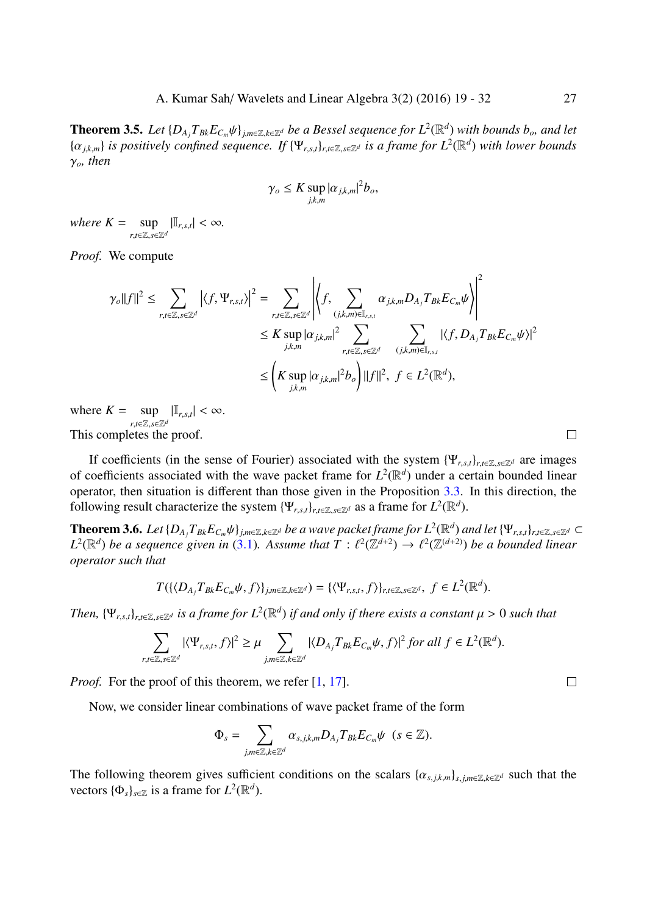**Theorem 3.5.** Let  $\{D_{A_j}T_{Bk}E_{C_m}\psi\}_{j,m\in\mathbb{Z},k\in\mathbb{Z}^d}$  be a Bessel sequence for  $L^2(\mathbb{R}^d)$  with bounds  $b_o$ , and let  $\{\alpha_{j,k,m}\}\$ is positively confined sequence. If  $\{\Psi_{r,s,t}\}_{r,t\in\mathbb{Z},s\in\mathbb{Z}^d}$  is a frame for  $L^2(\mathbb{R}^d)$  with lower bounds γ*o, then*

$$
\gamma_o \leq K \sup_{j,k,m} |\alpha_{j,k,m}|^2 b_o,
$$

*where*  $K = \sup$ *r*,*t*∈Z,*s*∈Z*<sup>d</sup>*  $|\mathbb{I}_{r,s,t}| < \infty$ .

*Proof.* We compute

$$
\gamma_o ||f||^2 \leq \sum_{r,t \in \mathbb{Z}, s \in \mathbb{Z}^d} \left| \langle f, \Psi_{r,s,t} \rangle \right|^2 = \sum_{r,t \in \mathbb{Z}, s \in \mathbb{Z}^d} \left| \langle f, \sum_{(j,k,m) \in \mathbb{I}_{r,s,t}} \alpha_{j,k,m} D_{A_j} T_{Bk} E_{C_m} \psi \rangle \right|^2
$$
  

$$
\leq K \sup_{j,k,m} |\alpha_{j,k,m}|^2 \sum_{r,t \in \mathbb{Z}, s \in \mathbb{Z}^d} \sum_{(j,k,m) \in \mathbb{I}_{r,s,t}} |\langle f, D_{A_j} T_{Bk} E_{C_m} \psi \rangle|^2
$$
  

$$
\leq \left( K \sup_{j,k,m} |\alpha_{j,k,m}|^2 b_o \right) ||f||^2, \ f \in L^2(\mathbb{R}^d),
$$

where  $K = \sup$ *r*,*t*∈Z,*s*∈Z*<sup>d</sup>*  $|\mathbb{I}_{r,s,t}| < \infty$ . This completes the proof.

If coefficients (in the sense of Fourier) associated with the system  $\{\Psi_{r,s,t}\}_{r,t\in\mathbb{Z},s\in\mathbb{Z}^d}$  are images of coefficients associated with the wave packet frame for  $L^2(\mathbb{R}^d)$  under a certain bounded linear operator, then situation is different than those given in the Proposition 3.3. In this direction, the following result characterize the system  $\{\Psi_{r,s,t}\}_{r,t\in\mathbb{Z},s\in\mathbb{Z}^d}$  as a frame for  $L^2(\mathbb{R}^d)$ .

**Theorem 3.6.** Let  $\{D_{A_j}T_{Bk}E_{C_m}\psi\}_{j,m\in\mathbb{Z},k\in\mathbb{Z}^d}$  be a wave packet frame for  $L^2(\mathbb{R}^d)$  and let  $\{\Psi_{r,s,t}\}_{r,t\in\mathbb{Z},s\in\mathbb{Z}^d}\subset$  $L^2(\mathbb{R}^d)$  be a sequence given in (3.1). Assume that  $T: \ell^2(\mathbb{Z}^{d+2}) \to \ell^2(\mathbb{Z}^{(d+2)})$  $T: \ell^2(\mathbb{Z}^{d+2}) \to \ell^2(\mathbb{Z}^{(d+2)})$  $T: \ell^2(\mathbb{Z}^{d+2}) \to \ell^2(\mathbb{Z}^{(d+2)})$  be a bounded linear *operator such that*

$$
T(\{\langle D_{A_j}T_{Bk}E_{C_m}\psi,f\rangle\}_{j,m\in\mathbb{Z},k\in\mathbb{Z}^d})=\{\langle \Psi_{r,s,t},f\rangle\}_{r,t\in\mathbb{Z},s\in\mathbb{Z}^d},\;f\in L^2(\mathbb{R}^d).
$$

Then,  $\{\Psi_{r,s,t}\}_{r,t\in\mathbb{Z},s\in\mathbb{Z}^d}$  is a frame for  $L^2(\mathbb{R}^d)$  if and only if there exists a constant  $\mu>0$  such that

$$
\sum_{r,t\in\mathbb{Z},s\in\mathbb{Z}^d}|\langle \Psi_{r,s,t},f\rangle|^2\geq\mu\sum_{j,m\in\mathbb{Z},k\in\mathbb{Z}^d}|\langle D_{A_j}T_{Bk}E_{C_m}\psi,f\rangle|^2\text{ for all }f\in L^2(\mathbb{R}^d).
$$

*Proof.* For the proof of this theorem, we refer [1, 17].

Now, we consider linear combinations of wave packet frame of the form

$$
\Phi_s = \sum_{j,m \in \mathbb{Z}, k \in \mathbb{Z}^d} \alpha_{s,j,k,m} D_{A_j} T_{Bk} E_{C_m} \psi \quad (s \in \mathbb{Z}).
$$

The following theorem gives sufficient conditions on the scalars  $\{\alpha_{s,j,k,m}\}_{s,j,m\in\mathbb{Z},k\in\mathbb{Z}^d}$  such that the vectors  $\{\Phi_s\}_{s \in \mathbb{Z}}$  is a frame for  $L^2(\mathbb{R}^d)$ .

 $\Box$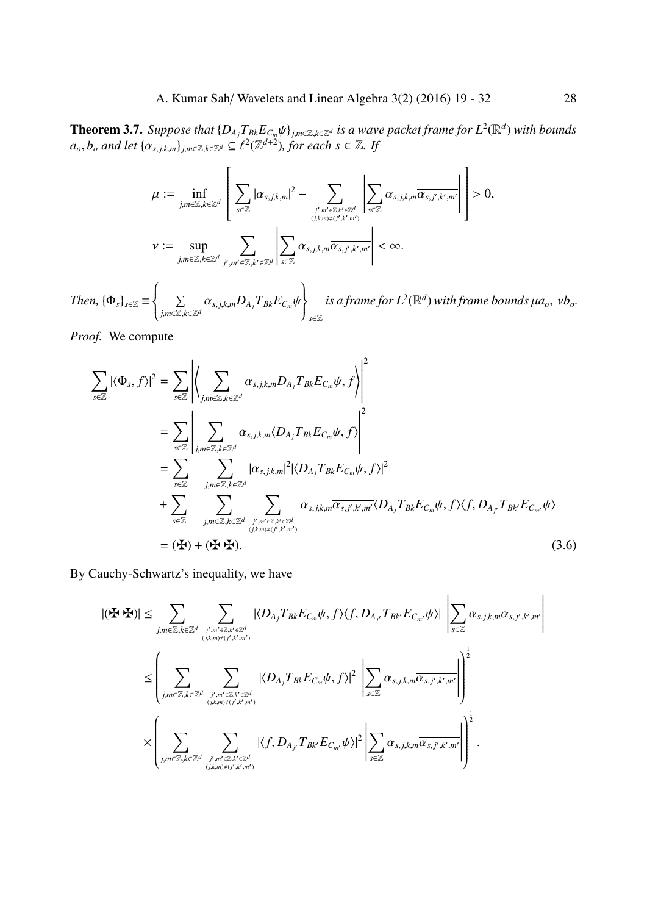<span id="page-9-1"></span>**Theorem 3.7.** Suppose that  $\{D_{A_j}T_{Bk}E_{C_m}\psi\}_{j,m\in\mathbb{Z},k\in\mathbb{Z}^d}$  is a wave packet frame for  $L^2(\mathbb{R}^d)$  with bounds  $a_o, b_o$  *and let*  $\{\alpha_{s,j,k,m}\}_{j,m\in\mathbb{Z},k\in\mathbb{Z}^d}\subseteq \ell^2(\mathbb{Z}^{d+2})$ *, for each*  $s\in\mathbb{Z}$ *. If* 

$$
\mu := \inf_{j,m\in\mathbb{Z},k\in\mathbb{Z}^d}\left[\sum_{s\in\mathbb{Z}}|\alpha_{s,j,k,m}|^2 - \sum_{j',m'\in\mathbb{Z},k'\in\mathbb{Z}^d}\left|\sum_{s\in\mathbb{Z}}\alpha_{s,j,k,m}\overline{\alpha_{s,j',k',m'}}\right|\right] > 0,
$$
  

$$
v := \sup_{j,m\in\mathbb{Z},k\in\mathbb{Z}^d}\sum_{j',m'\in\mathbb{Z},k'\in\mathbb{Z}^d}\left|\sum_{s\in\mathbb{Z}}\alpha_{s,j,k,m}\overline{\alpha_{s,j',k',m'}}\right| < \infty.
$$

*Then,*  ${\{\Phi_s\}}_{s \in \mathbb{Z}}$   $\equiv$  $\left\{\right.$  $\overline{\mathcal{L}}$ ∑ *j*,*m*∈Z,*k*∈Z*<sup>d</sup>*  $\alpha_{s,j,k,m}D_{A_j}T_{Bk}E_{C_m}\psi$  $\left\{ \right.$  *s*∈Z  $i$ *s a frame for*  $L^2(\mathbb{R}^d)$  *with frame bounds*  $\mu a_o$ *,*  $\nu b_o$ *.* 

*Proof.* We compute

$$
\sum_{s \in \mathbb{Z}} |\langle \Phi_s, f \rangle|^2 = \sum_{s \in \mathbb{Z}} \left| \left\langle \sum_{j,m \in \mathbb{Z}, k \in \mathbb{Z}^d} \alpha_{s,j,k,m} D_{A_j} T_{Bk} E_{C_m} \psi, f \right\rangle \right|^2
$$
\n
$$
= \sum_{s \in \mathbb{Z}} \left| \sum_{j,m \in \mathbb{Z}, k \in \mathbb{Z}^d} \alpha_{s,j,k,m} \langle D_{A_j} T_{Bk} E_{C_m} \psi, f \rangle \right|^2
$$
\n
$$
= \sum_{s \in \mathbb{Z}} \sum_{j,m \in \mathbb{Z}, k \in \mathbb{Z}^d} |\alpha_{s,j,k,m}|^2 |\langle D_{A_j} T_{Bk} E_{C_m} \psi, f \rangle|^2
$$
\n
$$
+ \sum_{s \in \mathbb{Z}} \sum_{j,m \in \mathbb{Z}, k \in \mathbb{Z}^d} \sum_{\substack{j,m' \in \mathbb{Z}, k' \in \mathbb{Z}^d \\ (j,k,m) \neq (j',k',m')} } \alpha_{s,j,k,m} \overline{\alpha_{s,j',k',m'}} \langle D_{A_j} T_{Bk} E_{C_m} \psi, f \rangle \langle f, D_{A_j} T_{Bk'} E_{C_{m'}} \psi \rangle
$$
\n
$$
= (\mathbf{H}) + (\mathbf{H} \cdot \mathbf{H}). \tag{3.6}
$$

By Cauchy-Schwartz's inequality, we have

<span id="page-9-0"></span>
$$
|(\mathbf{F} \cdot \mathbf{F})| \leq \sum_{j,m \in \mathbb{Z}, k \in \mathbb{Z}^d} \sum_{j',m' \in \mathbb{Z}, k' \in \mathbb{Z}^d \atop (j,k,m) \neq (j',k',m')} |\langle D_{A_j} T_{Bk} E_{C_m} \psi, f \rangle \langle f, D_{A_j} T_{Bk'} E_{C_{m'}} \psi \rangle| \left| \sum_{s \in \mathbb{Z}} \alpha_{s,j,k,m} \overline{\alpha_{s,j',k',m'}} \right|
$$
  

$$
\leq \left( \sum_{j,m \in \mathbb{Z}, k \in \mathbb{Z}^d} \sum_{j',m' \in \mathbb{Z}, k' \in \mathbb{Z}^d \atop (j,k,m) \neq (j',k',m')} |\langle D_{A_j} T_{Bk} E_{C_m} \psi, f \rangle|^2 \left| \sum_{s \in \mathbb{Z}} \alpha_{s,j,k,m} \overline{\alpha_{s,j',k',m'}} \right| \right)^{\frac{1}{2}}
$$
  

$$
\times \left( \sum_{j,m \in \mathbb{Z}, k \in \mathbb{Z}^d} \sum_{j',m' \in \mathbb{Z}, k' \in \mathbb{Z}^d \atop (j,k,m) \neq (j',k',m')} |\langle f, D_{A_{j'}} T_{Bk'} E_{C_{m'}} \psi \rangle|^2 \left| \sum_{s \in \mathbb{Z}} \alpha_{s,j,k,m} \overline{\alpha_{s,j',k',m'}} \right| \right)^{\frac{1}{2}}.
$$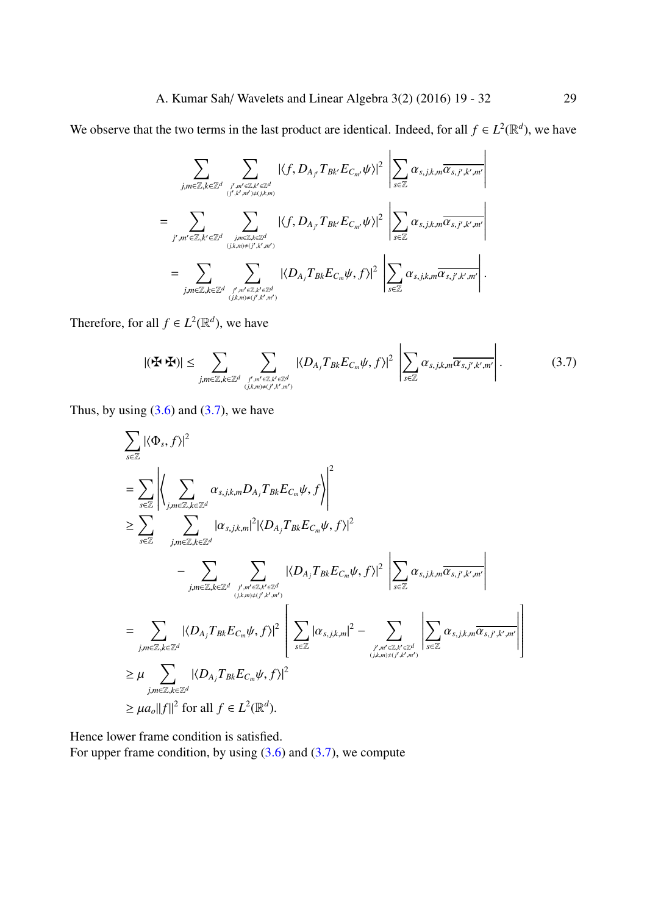We observe that the two terms in the last product are identical. Indeed, for all  $f \in L^2(\mathbb{R}^d)$ , we have

$$
\sum_{j,m\in\mathbb{Z},k\in\mathbb{Z}^d}\sum_{j',m'\in\mathbb{Z},k'\in\mathbb{Z}^d \atop (j,k,m)\neq (j',k',m')}|\langle f,D_{A_{j'}}T_{Bk'}E_{C_{m'}}\psi\rangle|^2\left|\sum_{s\in\mathbb{Z}}\alpha_{s,j,k,m}\overline{\alpha_{s,j',k',m'}}\right|
$$
\n
$$
=\sum_{j',m'\in\mathbb{Z},k'\in\mathbb{Z}^d}\sum_{j,m\in\mathbb{Z},k\in\mathbb{Z}^d \atop (j,k,m)\neq (j',k',m')}|\langle f,D_{A_{j'}}T_{Bk'}E_{C_{m'}}\psi\rangle|^2\left|\sum_{s\in\mathbb{Z}}\alpha_{s,j,k,m}\overline{\alpha_{s,j',k',m'}}\right|
$$
\n
$$
=\sum_{j,m\in\mathbb{Z},k\in\mathbb{Z}^d}\sum_{j',m'\in\mathbb{Z},k'\in\mathbb{Z}^d \atop (j,k,m)\neq (j',k',m')}|\langle D_{A_{j}}T_{Bk}E_{C_{m}}\psi,f\rangle|^2\left|\sum_{s\in\mathbb{Z}}\alpha_{s,j,k,m}\overline{\alpha_{s,j',k',m'}}\right|.
$$

Therefore, for all  $f \in L^2(\mathbb{R}^d)$ , we have

$$
|(\mathbf{F} \cdot \mathbf{F})| \leq \sum_{j,m \in \mathbb{Z}, k \in \mathbb{Z}^d} \sum_{\substack{j', m' \in \mathbb{Z}, k' \in \mathbb{Z}^d \\ (j,k,m) \neq (j',k',m')} } |\langle D_{A_j} T_{B k} E_{C_m} \psi, f \rangle|^2 \left| \sum_{s \in \mathbb{Z}} \alpha_{s,j,k,m} \overline{\alpha_{s,j',k',m'}} \right|.
$$
 (3.7)

Thus, by using  $(3.6)$  and  $(3.7)$ , we have

$$
\sum_{s\in\mathbb{Z}}|\langle \Phi_s, f\rangle|^2
$$
\n
$$
= \sum_{s\in\mathbb{Z}}\left|\left\langle \sum_{j,m\in\mathbb{Z},k\in\mathbb{Z}^d} \alpha_{s,j,k,m}D_{A_j}T_{Bk}E_{C_m}\psi, f\rangle\right|^2\right|
$$
\n
$$
\geq \sum_{s\in\mathbb{Z}}\left|\sum_{j,m\in\mathbb{Z},k\in\mathbb{Z}^d} |\alpha_{s,j,k,m}|^2|\langle D_{A_j}T_{Bk}E_{C_m}\psi, f\rangle|^2 - \sum_{j,m\in\mathbb{Z},k\in\mathbb{Z}^d} |\langle D_{A_j}T_{Bk}E_{C_m}\psi, f\rangle|^2\right|\sum_{s\in\mathbb{Z}} \alpha_{s,j,k,m}\overline{\alpha_{s,j',k',m'}}|
$$
\n
$$
= \sum_{j,m\in\mathbb{Z},k\in\mathbb{Z}^d} |\langle D_{A_j}T_{Bk}E_{C_m}\psi, f\rangle|^2\left|\sum_{s\in\mathbb{Z}} |\alpha_{s,j,k,m}|^2 - \sum_{j,m'\in\mathbb{Z},k'\in\mathbb{Z}^d} \left|\sum_{s\in\mathbb{Z}} \alpha_{s,j,k,m}\overline{\alpha_{s,j',k',m'}}\right|\right|
$$
\n
$$
\geq \mu \sum_{j,m\in\mathbb{Z},k\in\mathbb{Z}^d} |\langle D_{A_j}T_{Bk}E_{C_m}\psi, f\rangle|^2
$$
\n
$$
\geq \mu a_o||f||^2 \text{ for all } f \in L^2(\mathbb{R}^d).
$$

Hence lower frame condition is satisfied. For upper frame condition, by using  $(3.6)$  and  $(3.7)$ , we compute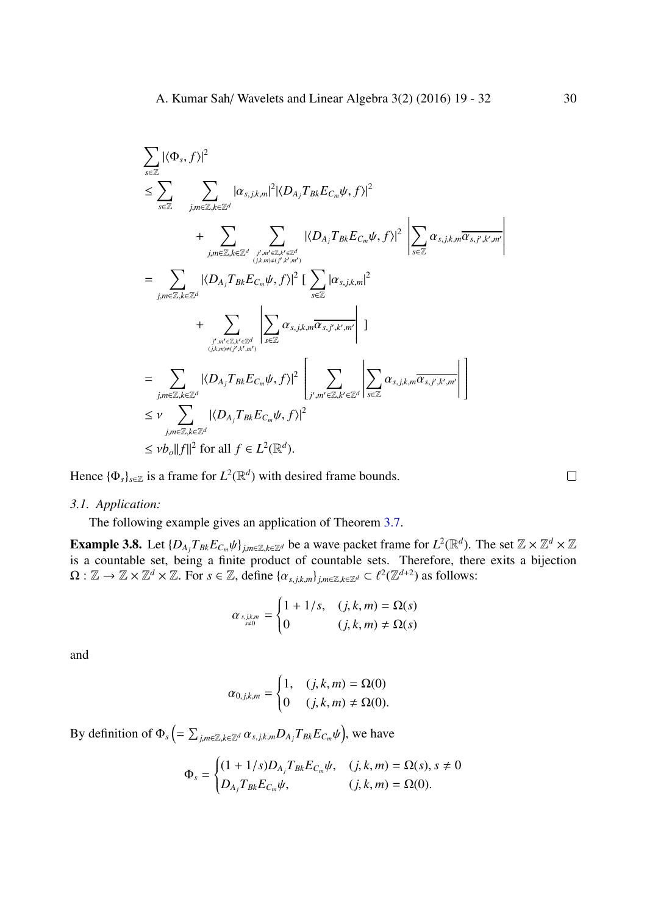$$
\sum_{s\in\mathbb{Z}} |\langle \Phi_s, f \rangle|^2
$$
\n
$$
\leq \sum_{s\in\mathbb{Z}} \sum_{j,m\in\mathbb{Z},k\in\mathbb{Z}^d} |\alpha_{s,j,k,m}|^2 |\langle D_{A_j} T_{Bk} E_{C_m} \psi, f \rangle|^2
$$
\n
$$
+ \sum_{j,m\in\mathbb{Z},k\in\mathbb{Z}^d} \sum_{j',m'\in\mathbb{Z},k'\in\mathbb{Z}^d} |\langle D_{A_j} T_{Bk} E_{C_m} \psi, f \rangle|^2 \left| \sum_{s\in\mathbb{Z}} \alpha_{s,j,k,m} \overline{\alpha_{s,j',k',m'}} \right|
$$
\n
$$
= \sum_{j,m\in\mathbb{Z},k\in\mathbb{Z}^d} |\langle D_{A_j} T_{Bk} E_{C_m} \psi, f \rangle|^2 \left| \sum_{s\in\mathbb{Z}} |\alpha_{s,j,k,m}|^2 + \sum_{\substack{j',m'\in\mathbb{Z},k'\in\mathbb{Z}^d \\ (j,k,m)\neq (j',k',m')}} \left| \sum_{s\in\mathbb{Z}} \alpha_{s,j,k,m} \overline{\alpha_{s,j',k',m'}} \right| \right|
$$
\n
$$
= \sum_{j,m\in\mathbb{Z},k\in\mathbb{Z}^d} |\langle D_{A_j} T_{Bk} E_{C_m} \psi, f \rangle|^2 \left| \sum_{j',m'\in\mathbb{Z},k'\in\mathbb{Z}^d} \left| \sum_{s\in\mathbb{Z}} \alpha_{s,j,k,m} \overline{\alpha_{s,j',k',m'}} \right| \right|
$$
\n
$$
\leq \nu \sum_{j,m\in\mathbb{Z},k\in\mathbb{Z}^d} |\langle D_{A_j} T_{Bk} E_{C_m} \psi, f \rangle|^2
$$
\n
$$
\leq \nu b_o ||f||^2 \text{ for all } f \in L^2(\mathbb{R}^d).
$$

Hence  $\{\Phi_s\}_{s \in \mathbb{Z}}$  is a frame for  $L^2(\mathbb{R}^d)$  with desired frame bounds.

 $\Box$ 

#### *3.1. Application:*

The following example gives an application of Theorem 3.7.

**Example 3.8.** Let  $\{D_{A_j}T_{Bk}E_{C_m}\psi\}_{j,m\in\mathbb{Z},k\in\mathbb{Z}^d}$  be a wave packet frame for  $L^2(\mathbb{R}^d)$ . The set  $\mathbb{Z}\times\mathbb{Z}^d\times\mathbb{Z}$ is a countable set, being a finite product of countable sets. Therefore, there exits a bijection  $\Omega: \mathbb{Z} \to \mathbb{Z} \times \mathbb{Z}^d \times \mathbb{Z}$  $\Omega: \mathbb{Z} \to \mathbb{Z} \times \mathbb{Z}^d \times \mathbb{Z}$  $\Omega: \mathbb{Z} \to \mathbb{Z} \times \mathbb{Z}^d \times \mathbb{Z}$ . For  $s \in \mathbb{Z}$ , define  $\{\alpha_{s,j,k,m}\}_{j,m \in \mathbb{Z}, k \in \mathbb{Z}^d} \subset \ell^2(\mathbb{Z}^{d+2})$  as follows:

$$
\alpha_{s,j,k,m} = \begin{cases} 1 + 1/s, & (j,k,m) = \Omega(s) \\ 0 & (j,k,m) \neq \Omega(s) \end{cases}
$$

and

$$
\alpha_{0,j,k,m} = \begin{cases} 1, & (j,k,m) = \Omega(0) \\ 0 & (j,k,m) \neq \Omega(0). \end{cases}
$$

By definition of  $\Phi_s$   $\left( = \sum_{j,m \in \mathbb{Z}, k \in \mathbb{Z}^d} \alpha_{s,j,k,m} D_{A_j} T_{Bk} E_{C_m} \psi \right)$ , we have

$$
\Phi_s = \begin{cases} (1 + 1/s)D_{A_j}T_{Bk}E_{C_m}\psi, & (j, k, m) = \Omega(s), s \neq 0 \\ D_{A_j}T_{Bk}E_{C_m}\psi, & (j, k, m) = \Omega(0). \end{cases}
$$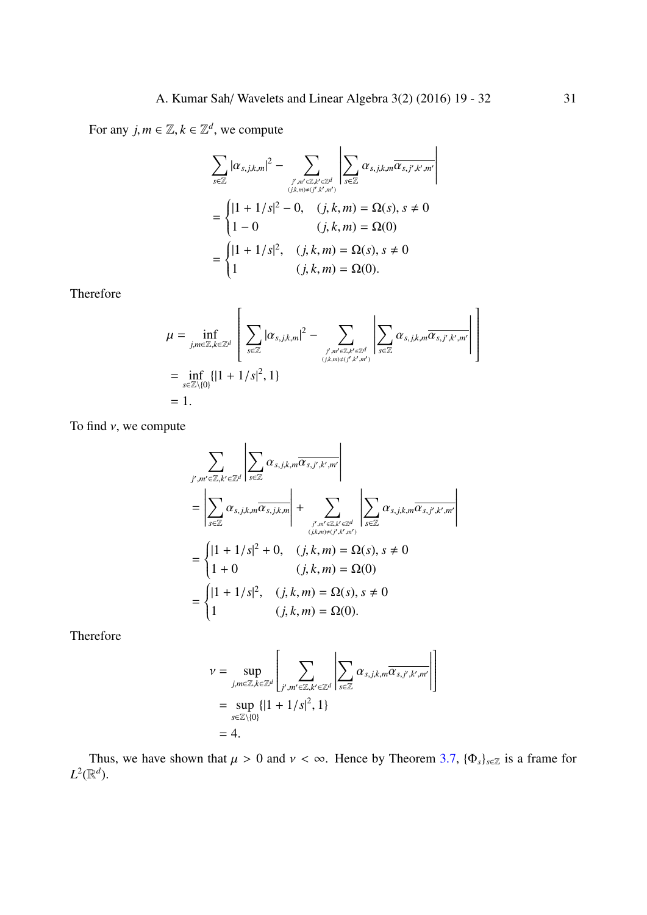For any  $j, m \in \mathbb{Z}, k \in \mathbb{Z}^d$ , we compute

$$
\sum_{s\in\mathbb{Z}}|\alpha_{s,j,k,m}|^2 - \sum_{\substack{j',m'\in\mathbb{Z},k'\in\mathbb{Z}^d\\(j,k,m)\neq(j',k',m')}}\left|\sum_{s\in\mathbb{Z}}\alpha_{s,j,k,m}\overline{\alpha_{s,j',k',m'}}\right|
$$

$$
= \begin{cases} |1+1/s|^2 - 0, & (j,k,m) = \Omega(s), s \neq 0\\ 1-0 & (j,k,m) = \Omega(0) \end{cases}
$$

$$
= \begin{cases} |1+1/s|^2, & (j,k,m) = \Omega(s), s \neq 0\\ 1 & (j,k,m) = \Omega(0). \end{cases}
$$

Therefore

$$
\mu = \inf_{j,m \in \mathbb{Z}, k \in \mathbb{Z}^d} \left[ \sum_{s \in \mathbb{Z}} |\alpha_{s,j,k,m}|^2 - \sum_{j',m' \in \mathbb{Z}, k' \in \mathbb{Z}^d \atop (j,k,m) \neq (j',k',m')} \left| \sum_{s \in \mathbb{Z}} \alpha_{s,j,k,m} \overline{\alpha_{s,j',k',m'}} \right| \right]
$$
  
= 
$$
\inf_{s \in \mathbb{Z} \setminus \{0\}} \{ |1 + 1/s|^2, 1 \}
$$
  
= 1.

To find  $\nu$ , we compute

$$
\sum_{j',m'\in\mathbb{Z},k'\in\mathbb{Z}^d} \left| \sum_{s\in\mathbb{Z}} \alpha_{s,j,k,m} \overline{\alpha_{s,j',k',m'}} \right|
$$
\n
$$
= \left| \sum_{s\in\mathbb{Z}} \alpha_{s,j,k,m} \overline{\alpha_{s,j,k,m}} \right| + \sum_{j',m'\in\mathbb{Z},k'\in\mathbb{Z}^d \atop (j,k,m)\neq (j',k',m')} \left| \sum_{s\in\mathbb{Z}} \alpha_{s,j,k,m} \overline{\alpha_{s,j',k',m'}} \right|
$$
\n
$$
= \begin{cases} |1+1/s|^2 + 0, & (j,k,m) = \Omega(s), s \neq 0 \\ 1+0 & (j,k,m) = \Omega(0) \\ 1 & (j,k,m) = \Omega(0). \end{cases}
$$

Therefore

$$
\nu = \sup_{j,m \in \mathbb{Z}, k \in \mathbb{Z}^d} \left[ \sum_{j',m' \in \mathbb{Z}, k' \in \mathbb{Z}^d} \left| \sum_{s \in \mathbb{Z}} \alpha_{s,j,k,m} \overline{\alpha_{s,j',k',m'}} \right| \right]
$$
  
=  $\sup_{s \in \mathbb{Z} \setminus \{0\}} \{ |1 + 1/s|^2, 1 \}$   
= 4.

Thus, we have shown that  $\mu > 0$  and  $\nu < \infty$ . Hence by Theorem 3.7,  $\{\Phi_s\}_{s \in \mathbb{Z}}$  is a frame for  $L^2(\mathbb{R}^d)$ .